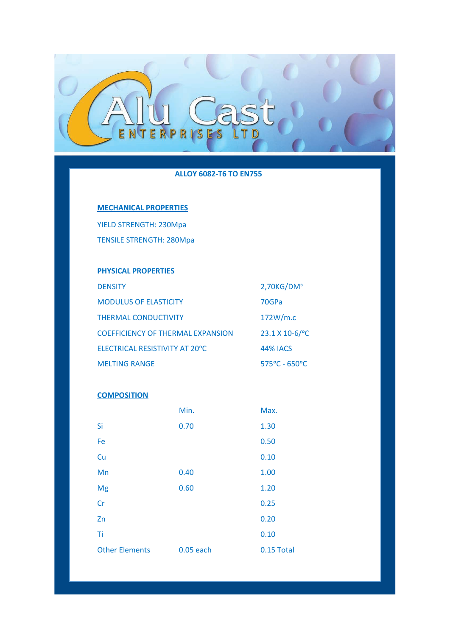

## **ALLOY 6082-T6 TO EN755**

# **MECHANICAL PROPERTIES**

YIELD STRENGTH: 230Mpa TENSILE STRENGTH: 280Mpa

# **PHYSICAL PROPERTIES**

| <b>DENSITY</b>                           | $2,70$ KG/DM <sup>3</sup> |
|------------------------------------------|---------------------------|
| <b>MODULUS OF ELASTICITY</b>             | 70GPa                     |
| <b>THERMAL CONDUCTIVITY</b>              | 172W/m.c                  |
| <b>COEFFICIENCY OF THERMAL EXPANSION</b> | 23.1 X 10-6/°C            |
| ELECTRICAL RESISTIVITY AT 20°C           | <b>44% IACS</b>           |
| <b>MELTING RANGE</b>                     | $575^{\circ}$ C - 650°C   |

## **COMPOSITION**

|                       | Min.      | Max.       |
|-----------------------|-----------|------------|
| Si                    | 0.70      | 1.30       |
| Fe                    |           | 0.50       |
| Cu                    |           | 0.10       |
| Mn                    | 0.40      | 1.00       |
| Mg                    | 0.60      | 1.20       |
| Cr                    |           | 0.25       |
| Zn                    |           | 0.20       |
| Ti                    |           | 0.10       |
| <b>Other Elements</b> | 0.05 each | 0.15 Total |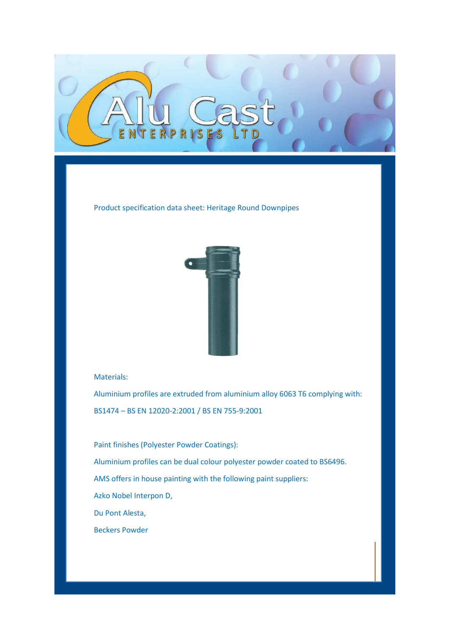

Product specification data sheet: Heritage Round Downpipes



## Materials:

Aluminium profiles are extruded from aluminium alloy 6063 T6 complying with: BS1474 – BS EN 12020-2:2001 / BS EN 755-9:2001

Paint finishes (Polyester Powder Coatings): Aluminium profiles can be dual colour polyester powder coated to BS6496. AMS offers in house painting with the following paint suppliers: Azko Nobel Interpon D, Du Pont Alesta, Beckers Powder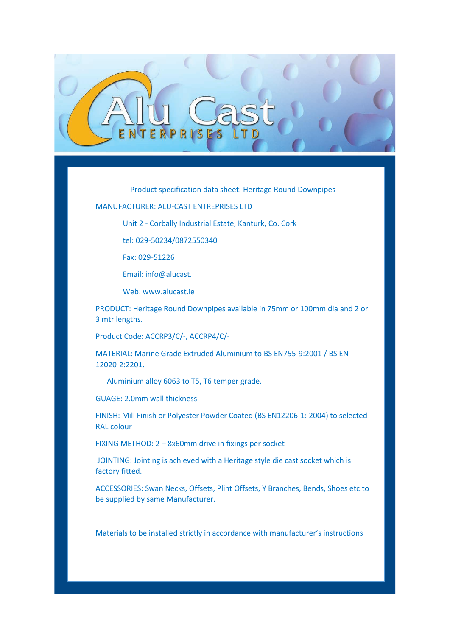

Product specification data sheet: Heritage Round Downpipes

#### MANUFACTURER: ALU-CAST ENTREPRISES LTD

Unit 2 - Corbally Industrial Estate, Kanturk, Co. Cork

tel: 029-50234/0872550340

Fax: 029-51226

Email: info@alucast.

Web: www.alucast.ie

PRODUCT: Heritage Round Downpipes available in 75mm or 100mm dia and 2 or 3 mtr lengths.

Product Code: ACCRP3/C/-, ACCRP4/C/-

MATERIAL: Marine Grade Extruded Aluminium to BS EN755-9:2001 / BS EN 12020-2:2201.

Aluminium alloy 6063 to T5, T6 temper grade.

GUAGE: 2.0mm wall thickness

FINISH: Mill Finish or Polyester Powder Coated (BS EN12206-1: 2004) to selected RAL colour

FIXING METHOD: 2 – 8x60mm drive in fixings per socket

JOINTING: Jointing is achieved with a Heritage style die cast socket which is factory fitted.

ACCESSORIES: Swan Necks, Offsets, Plint Offsets, Y Branches, Bends, Shoes etc.to be supplied by same Manufacturer.

Materials to be installed strictly in accordance with manufacturer's instructions